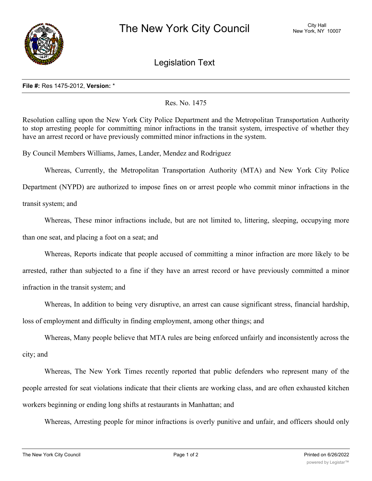

Legislation Text

## **File #:** Res 1475-2012, **Version:** \*

## Res. No. 1475

Resolution calling upon the New York City Police Department and the Metropolitan Transportation Authority to stop arresting people for committing minor infractions in the transit system, irrespective of whether they have an arrest record or have previously committed minor infractions in the system.

By Council Members Williams, James, Lander, Mendez and Rodriguez

Whereas, Currently, the Metropolitan Transportation Authority (MTA) and New York City Police Department (NYPD) are authorized to impose fines on or arrest people who commit minor infractions in the transit system; and

Whereas, These minor infractions include, but are not limited to, littering, sleeping, occupying more than one seat, and placing a foot on a seat; and

Whereas, Reports indicate that people accused of committing a minor infraction are more likely to be arrested, rather than subjected to a fine if they have an arrest record or have previously committed a minor infraction in the transit system; and

Whereas, In addition to being very disruptive, an arrest can cause significant stress, financial hardship, loss of employment and difficulty in finding employment, among other things; and

Whereas, Many people believe that MTA rules are being enforced unfairly and inconsistently across the city; and

Whereas, The New York Times recently reported that public defenders who represent many of the people arrested for seat violations indicate that their clients are working class, and are often exhausted kitchen workers beginning or ending long shifts at restaurants in Manhattan; and

Whereas, Arresting people for minor infractions is overly punitive and unfair, and officers should only